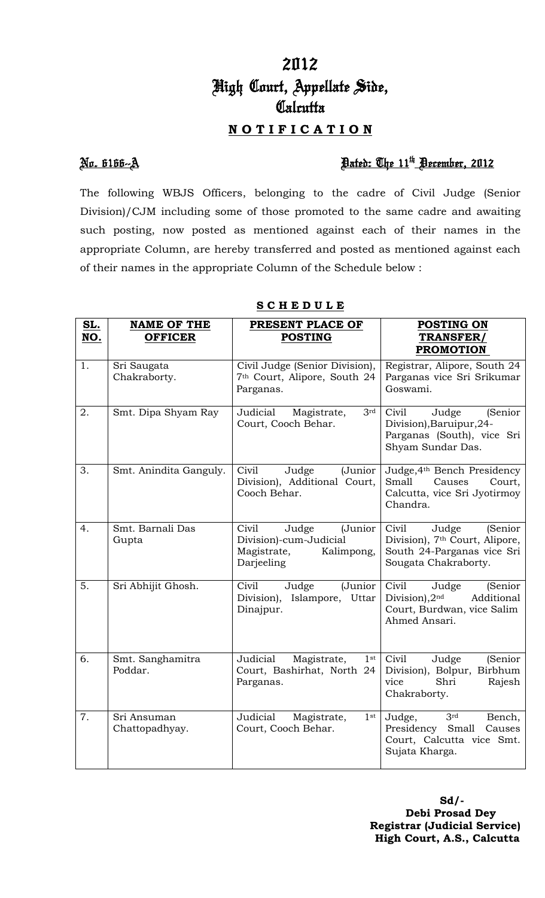# 2012 High Court, Appellate Side, **Calcutta N O T I F I C A T I O N**

## No. 6166--A Dated: The 11th December, 2012

The following WBJS Officers, belonging to the cadre of Civil Judge (Senior Division)/CJM including some of those promoted to the same cadre and awaiting such posting, now posted as mentioned against each of their names in the appropriate Column, are hereby transferred and posted as mentioned against each of their names in the appropriate Column of the Schedule below :

| <u>SL.</u><br>NO. | <b>NAME OF THE</b><br><b>OFFICER</b> | PRESENT PLACE OF<br><b>POSTING</b>                                                             | <b>POSTING ON</b><br>TRANSFER/<br><b>PROMOTION</b>                                                                            |
|-------------------|--------------------------------------|------------------------------------------------------------------------------------------------|-------------------------------------------------------------------------------------------------------------------------------|
| 1.                | Sri Saugata<br>Chakraborty.          | Civil Judge (Senior Division),<br>7 <sup>th</sup> Court, Alipore, South 24<br>Parganas.        | Registrar, Alipore, South 24<br>Parganas vice Sri Srikumar<br>Goswami.                                                        |
| 2.                | Smt. Dipa Shyam Ray                  | 3 <sup>rd</sup><br>Judicial<br>Magistrate,<br>Court, Cooch Behar.                              | Civil<br>Judge<br>(Senior<br>Division), Baruipur, 24-<br>Parganas (South), vice Sri<br>Shyam Sundar Das.                      |
| 3.                | Smt. Anindita Ganguly.               | Civil<br>Judge<br>(Junior<br>Division), Additional Court,<br>Cooch Behar.                      | Judge, 4th Bench Presidency<br>Small<br>Causes<br>Court,<br>Calcutta, vice Sri Jyotirmoy<br>Chandra.                          |
| 4.                | Smt. Barnali Das<br>Gupta            | Judge<br>Civil<br>(Junior<br>Division)-cum-Judicial<br>Kalimpong,<br>Magistrate,<br>Darjeeling | Civil<br>Judge<br>(Senior<br>Division), 7 <sup>th</sup> Court, Alipore,<br>South 24-Parganas vice Sri<br>Sougata Chakraborty. |
| 5.                | Sri Abhijit Ghosh.                   | Civil<br>Judge<br>(Junior<br>Division),<br>Islampore, Uttar<br>Dinajpur.                       | Civil<br>Judge<br>(Senior<br>Division), $2nd$<br>Additional<br>Court, Burdwan, vice Salim<br>Ahmed Ansari.                    |
| 6.                | Smt. Sanghamitra<br>Poddar.          | Judicial<br>Magistrate,<br>$1^{\rm st}$<br>Court, Bashirhat, North 24<br>Parganas.             | Civil<br>Judge<br>(Senior<br>Division), Bolpur, Birbhum<br>Shri<br>Rajesh<br>vice<br>Chakraborty.                             |
| 7.                | Sri Ansuman<br>Chattopadhyay.        | Judicial<br>Magistrate,<br>$1$ st<br>Court, Cooch Behar.                                       | 3rd<br>Judge,<br>Bench,<br>Presidency Small<br>Causes<br>Court, Calcutta vice Smt.<br>Sujata Kharga.                          |

### **S C H E D U L E**

 **Sd/- Debi Prosad Dey Registrar (Judicial Service) High Court, A.S., Calcutta**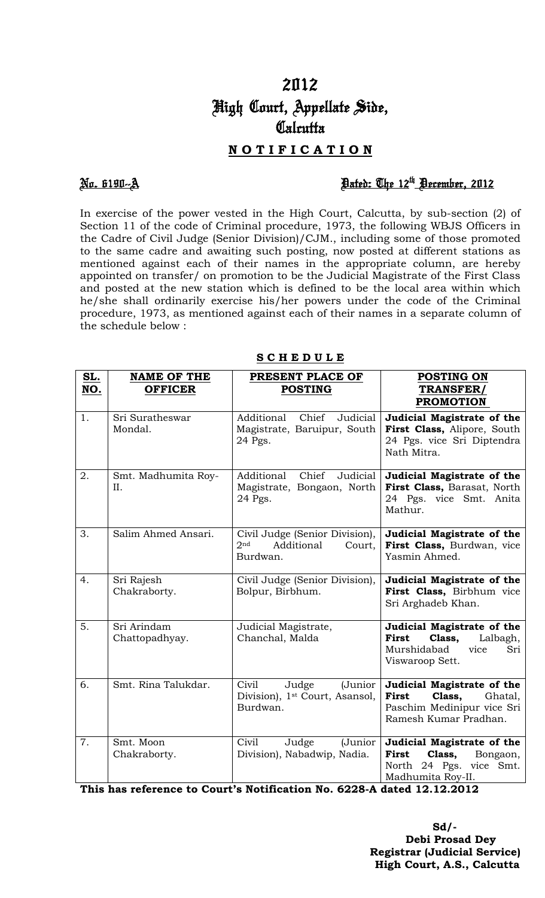# 2012 High Court, Appellate Side, Calcutta

## **N O T I F I C A T I O N**

## No. 6190--A Dated: The 12th December, 2012

In exercise of the power vested in the High Court, Calcutta, by sub-section (2) of Section 11 of the code of Criminal procedure, 1973, the following WBJS Officers in the Cadre of Civil Judge (Senior Division)/CJM., including some of those promoted to the same cadre and awaiting such posting, now posted at different stations as mentioned against each of their names in the appropriate column, are hereby appointed on transfer/ on promotion to be the Judicial Magistrate of the First Class and posted at the new station which is defined to be the local area within which he/she shall ordinarily exercise his/her powers under the code of the Criminal procedure, 1973, as mentioned against each of their names in a separate column of the schedule below :

| SL.<br>NO. | <b>NAME OF THE</b><br><b>OFFICER</b> | PRESENT PLACE OF<br><b>POSTING</b>                                                    | <b>POSTING ON</b><br>TRANSFER/<br><b>PROMOTION</b>                                                              |
|------------|--------------------------------------|---------------------------------------------------------------------------------------|-----------------------------------------------------------------------------------------------------------------|
| 1.         | Sri Suratheswar<br>Mondal.           | Judicial<br>Additional<br>Chief<br>Magistrate, Baruipur, South<br>24 Pgs.             | Judicial Magistrate of the<br>First Class, Alipore, South<br>24 Pgs. vice Sri Diptendra<br>Nath Mitra.          |
| 2.         | Smt. Madhumita Roy-<br>II.           | Judicial<br>Additional<br>Chief<br>Magistrate, Bongaon, North<br>24 Pgs.              | Judicial Magistrate of the<br>First Class, Barasat, North<br>24 Pgs. vice Smt. Anita<br>Mathur.                 |
| 3.         | Salim Ahmed Ansari.                  | Civil Judge (Senior Division),<br>2 <sub>nd</sub><br>Additional<br>Court,<br>Burdwan. | Judicial Magistrate of the<br>First Class, Burdwan, vice<br>Yasmin Ahmed.                                       |
| 4.         | Sri Rajesh<br>Chakraborty.           | Civil Judge (Senior Division),<br>Bolpur, Birbhum.                                    | Judicial Magistrate of the<br>First Class, Birbhum vice<br>Sri Arghadeb Khan.                                   |
| 5.         | Sri Arindam<br>Chattopadhyay.        | Judicial Magistrate,<br>Chanchal, Malda                                               | Judicial Magistrate of the<br>First<br>Class,<br>Lalbagh,<br>Murshidabad<br>vice<br>Sri<br>Viswaroop Sett.      |
| 6.         | Smt. Rina Talukdar.                  | Civil<br>(Junior<br>Judge<br>Division), 1 <sup>st</sup> Court, Asansol,<br>Burdwan.   | Judicial Magistrate of the<br>First<br>Class,<br>Ghatal,<br>Paschim Medinipur vice Sri<br>Ramesh Kumar Pradhan. |
| 7.         | Smt. Moon<br>Chakraborty.            | Civil<br>(Junior<br>Judge<br>Division), Nabadwip, Nadia.                              | Judicial Magistrate of the<br>First<br>Class,<br>Bongaon,<br>North 24 Pgs. vice Smt.<br>Madhumita Roy-II.       |

### **S C H E D U L E**

**This has reference to Court's Notification No. 6228-A dated 12.12.2012** 

**Sd/-**  $S_d$  **Debi Prosad Dey Registrar (Judicial Service) High Court, A.S., Calcutta**